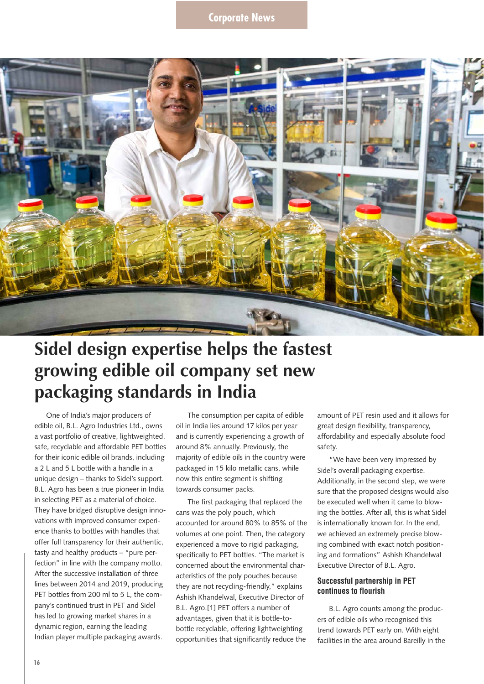

## **Sidel design expertise helps the fastest growing edible oil company set new packaging standards in India**

One of India's major producers of edible oil, B.L. Agro Industries Ltd., owns a vast portfolio of creative, lightweighted, safe, recyclable and affordable PET bottles for their iconic edible oil brands, including a 2 L and 5 L bottle with a handle in a unique design – thanks to Sidel's support. B.L. Agro has been a true pioneer in India in selecting PET as a material of choice. They have bridged disruptive design innovations with improved consumer experience thanks to bottles with handles that offer full transparency for their authentic, tasty and healthy products – "pure perfection" in line with the company motto. After the successive installation of three lines between 2014 and 2019, producing PET bottles from 200 ml to 5 L, the company's continued trust in PET and Sidel has led to growing market shares in a dynamic region, earning the leading Indian player multiple packaging awards.

The consumption per capita of edible oil in India lies around 17 kilos per year and is currently experiencing a growth of around 8% annually. Previously, the majority of edible oils in the country were packaged in 15 kilo metallic cans, while now this entire segment is shifting towards consumer packs.

The first packaging that replaced the cans was the poly pouch, which accounted for around 80% to 85% of the volumes at one point. Then, the category experienced a move to rigid packaging, specifically to PET bottles. "The market is concerned about the environmental characteristics of the poly pouches because they are not recycling-friendly," explains Ashish Khandelwal, Executive Director of B.L. Agro.[1] PET offers a number of advantages, given that it is bottle-tobottle recyclable, offering lightweighting opportunities that significantly reduce the

amount of PET resin used and it allows for great design flexibility, transparency, affordability and especially absolute food safety.

"We have been very impressed by Sidel's overall packaging expertise. Additionally, in the second step, we were sure that the proposed designs would also be executed well when it came to blowing the bottles. After all, this is what Sidel is internationally known for. In the end, we achieved an extremely precise blowing combined with exact notch positioning and formations" Ashish Khandelwal Executive Director of B.L. Agro.

## **Successful partnership in PET continues to flourish**

B.L. Agro counts among the producers of edible oils who recognised this trend towards PET early on. With eight facilities in the area around Bareilly in the